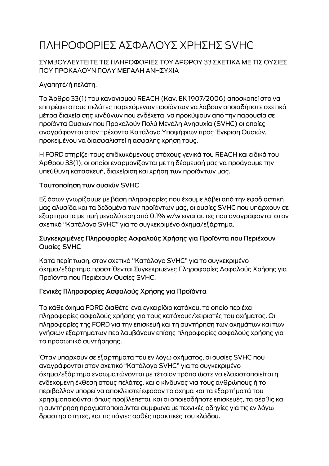# ΠΛΗΡΟΦΟΡΙΕΣ ΑΣΦΑΛΟΥΣ ΧΡΗΣΗΣ SVHC

### ΣΥΜΒΟΥΛΕΥΤΕΙΤΕ ΤΙΣ ΠΛΗΡΟΦΟΡΙΕΣ ΤΟΥ ΑΡΘΡΟΥ 33 ΣΧΕΤΙΚΑ ΜΕ ΤΙΣ ΟΥΣΙΕΣ ΠΟΥ ΠΡΟΚΑΛΟΥΝ ΠΟΛΥ ΜΕΓΑΛΗ ΑΝΗΣΥΧΙΑ

# Αγαπητέ/ή πελάτη,

Το Άρθρο 33(1) του κανονισμού REACH (Καν. ΕΚ 1907/2006) αποσκοπεί στο να επιτρέψει στους πελάτες παρεχόμενων προϊόντων να λάβουν οποιαδήποτε σχετικά μέτρα διαχείρισης κινδύνων που ενδέχεται να προκύψουν από την παρουσία σε προϊόντα Ουσιών που Προκαλούν Πολύ Μεγάλη Ανησυχία (SVHC) οι οποίες αναγράφονται στον τρέχοντα Κατάλογο Υποψήφιων προς Έγκριση Ουσιών, προκειμένου να διασφαλιστεί η ασφαλής χρήση τους.

Η FORD στηρίζει τους επιδιωκόμενους στόχους γενικά του REACH και ειδικά του Άρθρου 33(1), οι οποίοι εναρμονίζονται με τη δέσμευσή μας να προάγουμε την υπεύθυνη κατασκευή, διαχείριση και χρήση των προϊόντων μας.

#### Ταυτοποίηση των ουσιών SVHC

Εξ όσων γνωρίζουμε με βάση πληροφορίες που έχουμε λάβει από την εφοδιαστική μας αλυσίδα και τα δεδομένα των προϊόντων μας, οι ουσίες SVHC που υπάρχουν σε εξαρτήματα με τιμή μεγαλύτερη από 0,1% w/w είναι αυτές που αναγράφονται στον σχετικό "Κατάλογο SVHC" για το συγκεκριμένο όχημα/εξάρτημα.

#### Συγκεκριμένες Πληροφορίες Ασφαλούς Χρήσης για Προϊόντα που Περιέχουν Ουσίες SVHC

Κατά περίπτωση, στον σχετικό "Κατάλογο SVHC" για το συγκεκριμένο όχημα/εξάρτημα προστίθενται Συγκεκριμένες Πληροφορίες Ασφαλούς Χρήσης για Προϊόντα που Περιέχουν Ουσίες SVHC.

## Γενικές Πληροφορίες Ασφαλούς Χρήσης για Προϊόντα

Το κάθε όχημα FORD διαθέτει ένα εγχειρίδιο κατόχου, το οποίο περιέχει πληροφορίες ασφαλούς χρήσης για τους κατόχους/χειριστές του οχήματος. Οι πληροφορίες της FORD για την επισκευή και τη συντήρηση των οχημάτων και των γνήσιων εξαρτημάτων περιλαμβάνουν επίσης πληροφορίες ασφαλούς χρήσης για το προσωπικό συντήρησης.

Όταν υπάρχουν σε εξαρτήματα του εν λόγω οχήματος, οι ουσίες SVHC που αναγράφονται στον σχετικό "Κατάλογο SVHC" για το συγκεκριμένο όχημα/εξάρτημα ενσωματώνονται με τέτοιον τρόπο ώστε να ελαχιστοποιείται η ενδεχόμενη έκθεση στους πελάτες, και ο κίνδυνος για τους ανθρώπους ή το περιβάλλον μπορεί να αποκλειστεί εφόσον το όχημα και τα εξαρτήματά του χρησιμοποιούνται όπως προβλέπεται, και οι οποιεσδήποτε επισκευές, τα σέρβις και η συντήρηση πραγματοποιούνται σύμφωνα με τεχνικές οδηγίες για τις εν λόγω δραστηριότητες, και τις πάγιες ορθές πρακτικές του κλάδου.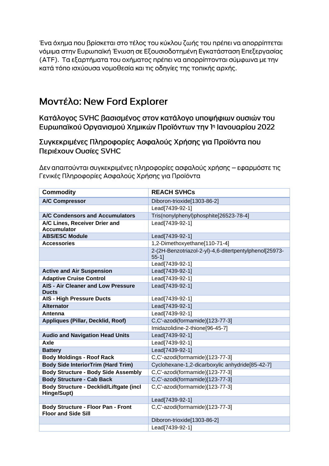Ένα όχημα που βρίσκεται στο τέλος του κύκλου ζωής του πρέπει να απορρίπτεται νόμιμα στην Ευρωπαϊκή Ένωση σε Εξουσιοδοτημένη Εγκατάσταση Επεξεργασίας (ΑΤΕ). Τα εξαρτήματα του οχήματος πρέπει να απορρίπτονται σύμφωνα με την κατά τόπο ισχύουσα νομοθεσία και τις οδηγίες της τοπικής αρχής.

# Μοντέλο: New Ford Explorer

Κατάλογος SVHC βασισμένος στον κατάλογο υποψήφιων ουσιών του Ευρωπαϊκού Οργανισμού Χημικών Προϊόντων την 1η Ιανουαρίου 2022

Συγκεκριμένες Πληροφορίες Ασφαλούς Χρήσης για Προϊόντα που Περιέχουν Ουσίες SVHC

Δεν απαιτούνται συγκεκριμένες πληροφορίες ασφαλούς χρήσης – εφαρμόστε τις Γενικές Πληροφορίες Ασφαλούς Χρήσης για Προϊόντα

| <b>Commodity</b>                                                        | <b>REACH SVHCs</b>                                                 |
|-------------------------------------------------------------------------|--------------------------------------------------------------------|
| <b>A/C Compressor</b>                                                   | Diboron-trioxide[1303-86-2]                                        |
|                                                                         | Lead[7439-92-1]                                                    |
| A/C Condensors and Accumulators                                         | Tris(nonylphenyl)phosphite[26523-78-4]                             |
| A/C Lines, Receiver Drier and                                           | Lead[7439-92-1]                                                    |
| <b>Accumulator</b>                                                      |                                                                    |
| <b>ABS/ESC Module</b>                                                   | Lead[7439-92-1]                                                    |
| <b>Accessories</b>                                                      | 1,2-Dimethoxyethane[110-71-4]                                      |
|                                                                         | 2-(2H-Benzotriazol-2-yl)-4,6-ditertpentylphenol[25973-<br>$55-1$ ] |
|                                                                         | Lead[7439-92-1]                                                    |
| <b>Active and Air Suspension</b>                                        | Lead[7439-92-1]                                                    |
| <b>Adaptive Cruise Control</b>                                          | Lead[7439-92-1]                                                    |
| <b>AIS - Air Cleaner and Low Pressure</b><br><b>Ducts</b>               | Lead[7439-92-1]                                                    |
| <b>AIS - High Pressure Ducts</b>                                        | Lead[7439-92-1]                                                    |
| <b>Alternator</b>                                                       | Lead[7439-92-1]                                                    |
| Antenna                                                                 | Lead[7439-92-1]                                                    |
| Appliques (Pillar, Decklid, Roof)                                       | C,C'-azodi(formamide)[123-77-3]                                    |
|                                                                         | Imidazolidine-2-thione[96-45-7]                                    |
| <b>Audio and Navigation Head Units</b>                                  | Lead[7439-92-1]                                                    |
| Axle                                                                    | Lead[7439-92-1]                                                    |
| <b>Battery</b>                                                          | Lead[7439-92-1]                                                    |
| <b>Body Moldings - Roof Rack</b>                                        | C,C'-azodi(formamide)[123-77-3]                                    |
| <b>Body Side InteriorTrim (Hard Trim)</b>                               | Cyclohexane-1,2-dicarboxylic anhydride[85-42-7]                    |
| <b>Body Structure - Body Side Assembly</b>                              | C,C'-azodi(formamide)[123-77-3]                                    |
| <b>Body Structure - Cab Back</b>                                        | C,C'-azodi(formamide)[123-77-3]                                    |
| Body Structure - Decklid/Liftgate (incl<br>Hinge/Supt)                  | C,C'-azodi(formamide)[123-77-3]                                    |
|                                                                         | Lead[7439-92-1]                                                    |
| <b>Body Structure - Floor Pan - Front</b><br><b>Floor and Side Sill</b> | C,C'-azodi(formamide)[123-77-3]                                    |
|                                                                         | Diboron-trioxide[1303-86-2]                                        |
|                                                                         | Lead[7439-92-1]                                                    |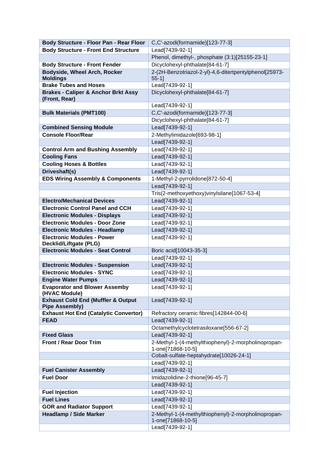| Body Structure - Floor Pan - Rear Floor                                | C,C'-azodi(formamide)[123-77-3]                                          |
|------------------------------------------------------------------------|--------------------------------------------------------------------------|
| <b>Body Structure - Front End Structure</b>                            | Lead[7439-92-1]                                                          |
|                                                                        | Phenol, dimethyl-, phosphate (3:1)[25155-23-1]                           |
| <b>Body Structure - Front Fender</b>                                   | Dicyclohexyl-phthalate[84-61-7]                                          |
| <b>Bodyside, Wheel Arch, Rocker</b>                                    | 2-(2H-Benzotriazol-2-yl)-4,6-ditertpentylphenol[25973-                   |
| <b>Moldings</b>                                                        | $55-1$ ]                                                                 |
| <b>Brake Tubes and Hoses</b>                                           | Lead[7439-92-1]                                                          |
| <b>Brakes - Caliper &amp; Anchor Brkt Assy</b><br>(Front, Rear)        | Dicyclohexyl-phthalate[84-61-7]                                          |
|                                                                        | Lead[7439-92-1]                                                          |
| <b>Bulk Materials (PMT100)</b>                                         | C,C'-azodi(formamide)[123-77-3]                                          |
|                                                                        | Dicyclohexyl-phthalate[84-61-7]                                          |
| <b>Combined Sensing Module</b>                                         | Lead[7439-92-1]                                                          |
| <b>Console Floor/Rear</b>                                              | 2-Methylimidazole[693-98-1]                                              |
|                                                                        | Lead[7439-92-1]                                                          |
| <b>Control Arm and Bushing Assembly</b>                                | Lead[7439-92-1]                                                          |
| <b>Cooling Fans</b>                                                    | Lead[7439-92-1]                                                          |
| <b>Cooling Hoses &amp; Bottles</b>                                     | Lead[7439-92-1]                                                          |
| Driveshaft(s)                                                          | Lead[7439-92-1]                                                          |
| <b>EDS Wiring Assembly &amp; Components</b>                            | 1-Methyl-2-pyrrolidone[872-50-4]                                         |
|                                                                        | Lead[7439-92-1]                                                          |
|                                                                        | Tris(2-methoxyethoxy)vinylsilane[1067-53-4]                              |
| <b>Electro/Mechanical Devices</b>                                      | Lead[7439-92-1]                                                          |
| <b>Electronic Control Panel and CCH</b>                                | Lead[7439-92-1]                                                          |
| <b>Electronic Modules - Displays</b>                                   | Lead[7439-92-1]                                                          |
| <b>Electronic Modules - Door Zone</b>                                  | Lead[7439-92-1]                                                          |
| <b>Electronic Modules - Headlamp</b>                                   | Lead[7439-92-1]                                                          |
| <b>Electronic Modules - Power</b><br>Decklid/Liftgate (PLG)            | Lead[7439-92-1]                                                          |
| <b>Electronic Modules - Seat Control</b>                               | Boric acid[10043-35-3]                                                   |
|                                                                        | Lead[7439-92-1]                                                          |
| <b>Electronic Modules - Suspension</b>                                 | Lead[7439-92-1]                                                          |
| <b>Electronic Modules - SYNC</b>                                       | Lead[7439-92-1]                                                          |
| <b>Engine Water Pumps</b>                                              | Lead[7439-92-1]                                                          |
| <b>Evaporator and Blower Assemby</b><br>(HVAC Module)                  | Lead[7439-92-1]                                                          |
| <b>Exhaust Cold End (Muffler &amp; Output</b><br><b>Pipe Assembly)</b> | Lead[7439-92-1]                                                          |
| <b>Exhaust Hot End (Catalytic Convertor)</b>                           | Refractory ceramic fibres[142844-00-6]                                   |
| <b>FEAD</b>                                                            | Lead[7439-92-1]                                                          |
|                                                                        | Octamethylcyclotetrasiloxane[556-67-2]                                   |
| <b>Fixed Glass</b>                                                     | Lead[7439-92-1]                                                          |
| <b>Front / Rear Door Trim</b>                                          | 2-Methyl-1-(4-methylthiophenyl)-2-morpholinopropan-<br>1-one[71868-10-5] |
|                                                                        | Cobalt-sulfate-heptahydrate[10026-24-1]                                  |
|                                                                        | Lead[7439-92-1]                                                          |
| <b>Fuel Canister Assembly</b>                                          | Lead[7439-92-1]                                                          |
| <b>Fuel Door</b>                                                       | Imidazolidine-2-thione[96-45-7]                                          |
|                                                                        | Lead[7439-92-1]                                                          |
| <b>Fuel Injection</b>                                                  | Lead[7439-92-1]                                                          |
| <b>Fuel Lines</b>                                                      | Lead[7439-92-1]                                                          |
| <b>GOR and Radiator Support</b>                                        | Lead[7439-92-1]                                                          |
| <b>Headlamp / Side Marker</b>                                          | 2-Methyl-1-(4-methylthiophenyl)-2-morpholinopropan-                      |
|                                                                        | 1-one[71868-10-5]                                                        |
|                                                                        | Lead[7439-92-1]                                                          |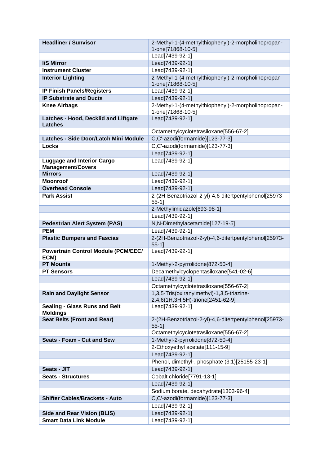| <b>Headliner / Sunvisor</b>                                        | 2-Methyl-1-(4-methylthiophenyl)-2-morpholinopropan-                             |
|--------------------------------------------------------------------|---------------------------------------------------------------------------------|
|                                                                    | 1-one[71868-10-5]                                                               |
|                                                                    | Lead[7439-92-1]                                                                 |
| I/S Mirror                                                         | Lead[7439-92-1]                                                                 |
| <b>Instrument Cluster</b>                                          | Lead[7439-92-1]                                                                 |
| <b>Interior Lighting</b>                                           | 2-Methyl-1-(4-methylthiophenyl)-2-morpholinopropan-                             |
|                                                                    | 1-one[71868-10-5]                                                               |
| <b>IP Finish Panels/Registers</b><br><b>IP Substrate and Ducts</b> | Lead[7439-92-1]<br>Lead[7439-92-1]                                              |
| <b>Knee Airbags</b>                                                | 2-Methyl-1-(4-methylthiophenyl)-2-morpholinopropan-                             |
|                                                                    | 1-one[71868-10-5]                                                               |
| Latches - Hood, Decklid and Liftgate                               | Lead[7439-92-1]                                                                 |
| <b>Latches</b>                                                     |                                                                                 |
|                                                                    | Octamethylcyclotetrasiloxane[556-67-2]                                          |
| Latches - Side Door/Latch Mini Module                              | C,C'-azodi(formamide)[123-77-3]                                                 |
| Locks                                                              | C,C'-azodi(formamide)[123-77-3]                                                 |
|                                                                    | Lead[7439-92-1]                                                                 |
| <b>Luggage and Interior Cargo</b>                                  | Lead[7439-92-1]                                                                 |
| <b>Management/Covers</b>                                           |                                                                                 |
| <b>Mirrors</b>                                                     | Lead[7439-92-1]                                                                 |
| <b>Moonroof</b>                                                    | Lead[7439-92-1]                                                                 |
| <b>Overhead Console</b>                                            | Lead[7439-92-1]                                                                 |
| <b>Park Assist</b>                                                 | 2-(2H-Benzotriazol-2-yl)-4,6-ditertpentylphenol[25973-                          |
|                                                                    | $55-1$ ]<br>2-Methylimidazole[693-98-1]                                         |
|                                                                    | Lead[7439-92-1]                                                                 |
| <b>Pedestrian Alert System (PAS)</b>                               | N,N-Dimethylacetamide[127-19-5]                                                 |
| <b>PEM</b>                                                         | Lead[7439-92-1]                                                                 |
| <b>Plastic Bumpers and Fascias</b>                                 | 2-(2H-Benzotriazol-2-yl)-4,6-ditertpentylphenol[25973-                          |
|                                                                    | $55-1$                                                                          |
| <b>Powertrain Control Module (PCM/EEC/</b>                         | Lead[7439-92-1]                                                                 |
| ECM)                                                               |                                                                                 |
| <b>PT Mounts</b>                                                   | 1-Methyl-2-pyrrolidone[872-50-4]                                                |
| <b>PT Sensors</b>                                                  | Decamethylcyclopentasiloxane[541-02-6]                                          |
|                                                                    | Lead[7439-92-1]                                                                 |
|                                                                    | Octamethylcyclotetrasiloxane[556-67-2]                                          |
| <b>Rain and Daylight Sensor</b>                                    | 1,3,5-Tris(oxiranylmethyl)-1,3,5-triazine-<br>2,4,6(1H,3H,5H)-trione[2451-62-9] |
| <b>Sealing - Glass Runs and Belt</b>                               | Lead[7439-92-1]                                                                 |
| <b>Moldings</b>                                                    |                                                                                 |
| <b>Seat Belts (Front and Rear)</b>                                 | 2-(2H-Benzotriazol-2-yl)-4,6-ditertpentylphenol[25973-                          |
|                                                                    | $55-1$ ]                                                                        |
|                                                                    | Octamethylcyclotetrasiloxane[556-67-2]                                          |
| Seats - Foam - Cut and Sew                                         | 1-Methyl-2-pyrrolidone[872-50-4]                                                |
|                                                                    | 2-Ethoxyethyl acetate[111-15-9]                                                 |
|                                                                    | Lead[7439-92-1]                                                                 |
|                                                                    | Phenol, dimethyl-, phosphate (3:1)[25155-23-1]                                  |
| Seats - JIT                                                        | Lead[7439-92-1]                                                                 |
| <b>Seats - Structures</b>                                          | Cobalt chloride[7791-13-1]                                                      |
|                                                                    | Lead[7439-92-1]                                                                 |
|                                                                    | Sodium borate, decahydrate[1303-96-4]                                           |
| <b>Shifter Cables/Brackets - Auto</b>                              | C,C'-azodi(formamide)[123-77-3]                                                 |
|                                                                    | Lead[7439-92-1]                                                                 |
| <b>Side and Rear Vision (BLIS)</b>                                 | Lead[7439-92-1]                                                                 |
| <b>Smart Data Link Module</b>                                      | Lead[7439-92-1]                                                                 |